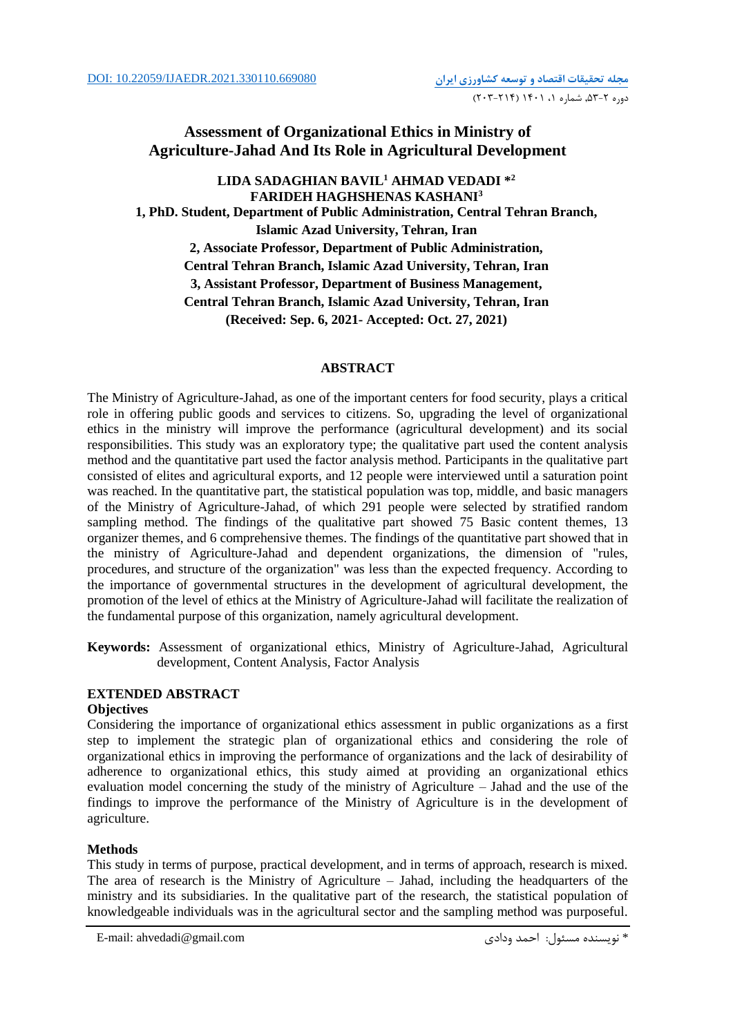# **Assessment of Organizational Ethics in Ministry of Agriculture-Jahad And Its Role in Agricultural Development**

# **LIDA SADAGHIAN BAVIL<sup>1</sup> AHMAD VEDADI \* 2 FARIDEH HAGHSHENAS KASHANI<sup>3</sup> 1, PhD. Student, Department of Public Administration, Central Tehran Branch, Islamic Azad University, Tehran, Iran 2, Associate Professor, Department of Public Administration, Central Tehran Branch, Islamic Azad University, Tehran, Iran 3, Assistant Professor, Department of Business Management, Central Tehran Branch, Islamic Azad University, Tehran, Iran (Received: Sep. 6, 2021- Accepted: Oct. 27, 2021)**

## **ABSTRACT**

The Ministry of Agriculture-Jahad, as one of the important centers for food security, plays a critical role in offering public goods and services to citizens. So, upgrading the level of organizational ethics in the ministry will improve the performance (agricultural development) and its social responsibilities. This study was an exploratory type; the qualitative part used the content analysis method and the quantitative part used the factor analysis method. Participants in the qualitative part consisted of elites and agricultural exports, and 12 people were interviewed until a saturation point was reached. In the quantitative part, the statistical population was top, middle, and basic managers of the Ministry of Agriculture-Jahad, of which 291 people were selected by stratified random sampling method. The findings of the qualitative part showed 75 Basic content themes, 13 organizer themes, and 6 comprehensive themes. The findings of the quantitative part showed that in the ministry of Agriculture-Jahad and dependent organizations, the dimension of "rules, procedures, and structure of the organization" was less than the expected frequency. According to the importance of governmental structures in the development of agricultural development, the promotion of the level of ethics at the Ministry of Agriculture-Jahad will facilitate the realization of the fundamental purpose of this organization, namely agricultural development.

**Keywords:** Assessment of organizational ethics, Ministry of Agriculture-Jahad, Agricultural development, Content Analysis, Factor Analysis

## **EXTENDED ABSTRACT**

## **Objectives**

Considering the importance of organizational ethics assessment in public organizations as a first step to implement the strategic plan of organizational ethics and considering the role of organizational ethics in improving the performance of organizations and the lack of desirability of adherence to organizational ethics, this study aimed at providing an organizational ethics evaluation model concerning the study of the ministry of Agriculture – Jahad and the use of the findings to improve the performance of the Ministry of Agriculture is in the development of agriculture.

## **Methods**

This study in terms of purpose, practical development, and in terms of approach, research is mixed. The area of research is the Ministry of Agriculture – Jahad, including the headquarters of the ministry and its subsidiaries. In the qualitative part of the research, the statistical population of knowledgeable individuals was in the agricultural sector and the sampling method was purposeful.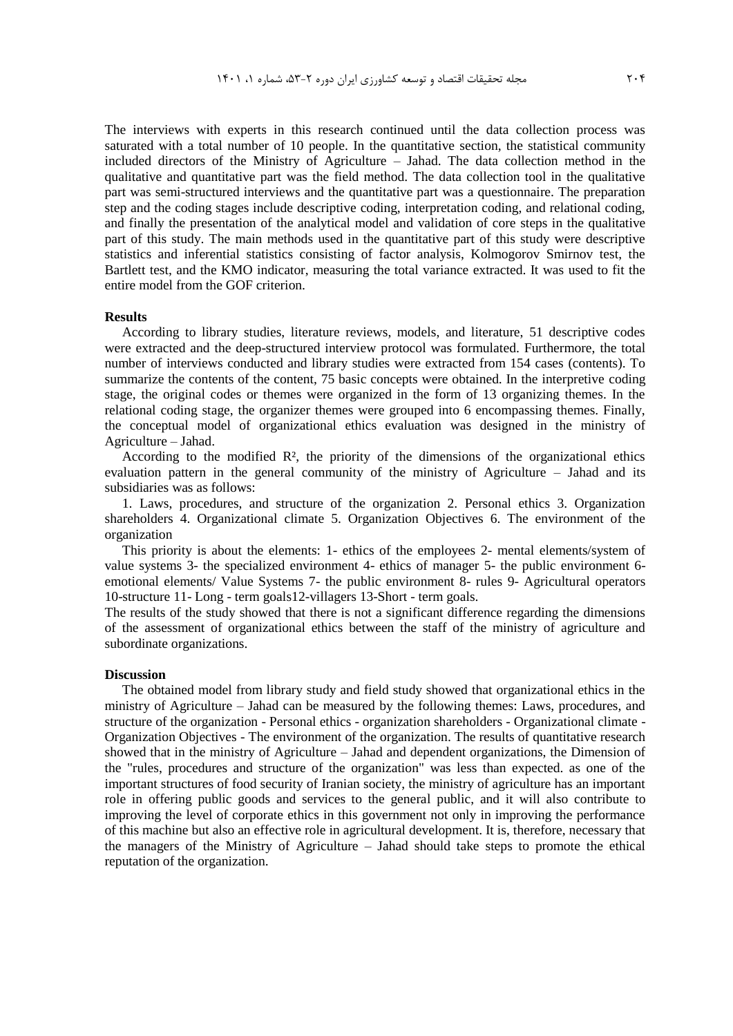The interviews with experts in this research continued until the data collection process was saturated with a total number of 10 people. In the quantitative section, the statistical community included directors of the Ministry of Agriculture – Jahad. The data collection method in the qualitative and quantitative part was the field method. The data collection tool in the qualitative part was semi-structured interviews and the quantitative part was a questionnaire. The preparation step and the coding stages include descriptive coding, interpretation coding, and relational coding, and finally the presentation of the analytical model and validation of core steps in the qualitative part of this study. The main methods used in the quantitative part of this study were descriptive statistics and inferential statistics consisting of factor analysis, Kolmogorov Smirnov test, the Bartlett test, and the KMO indicator, measuring the total variance extracted. It was used to fit the entire model from the GOF criterion.

### **Results**

According to library studies, literature reviews, models, and literature, 51 descriptive codes were extracted and the deep-structured interview protocol was formulated. Furthermore, the total number of interviews conducted and library studies were extracted from 154 cases (contents). To summarize the contents of the content, 75 basic concepts were obtained. In the interpretive coding stage, the original codes or themes were organized in the form of 13 organizing themes. In the relational coding stage, the organizer themes were grouped into 6 encompassing themes. Finally, the conceptual model of organizational ethics evaluation was designed in the ministry of Agriculture – Jahad.

According to the modified  $R<sup>2</sup>$ , the priority of the dimensions of the organizational ethics evaluation pattern in the general community of the ministry of Agriculture – Jahad and its subsidiaries was as follows:

1. Laws, procedures, and structure of the organization 2. Personal ethics 3. Organization shareholders 4. Organizational climate 5. Organization Objectives 6. The environment of the organization

This priority is about the elements: 1- ethics of the employees 2- mental elements/system of value systems 3- the specialized environment 4- ethics of manager 5- the public environment 6 emotional elements/ Value Systems 7- the public environment 8- rules 9- Agricultural operators 10-structure 11- Long - term goals12-villagers 13-Short - term goals.

The results of the study showed that there is not a significant difference regarding the dimensions of the assessment of organizational ethics between the staff of the ministry of agriculture and subordinate organizations.

#### **Discussion**

The obtained model from library study and field study showed that organizational ethics in the ministry of Agriculture – Jahad can be measured by the following themes: Laws, procedures, and structure of the organization - Personal ethics - organization shareholders - Organizational climate - Organization Objectives - The environment of the organization. The results of quantitative research showed that in the ministry of Agriculture – Jahad and dependent organizations, the Dimension of the "rules, procedures and structure of the organization" was less than expected. as one of the important structures of food security of Iranian society, the ministry of agriculture has an important role in offering public goods and services to the general public, and it will also contribute to improving the level of corporate ethics in this government not only in improving the performance of this machine but also an effective role in agricultural development. It is, therefore, necessary that the managers of the Ministry of Agriculture – Jahad should take steps to promote the ethical reputation of the organization.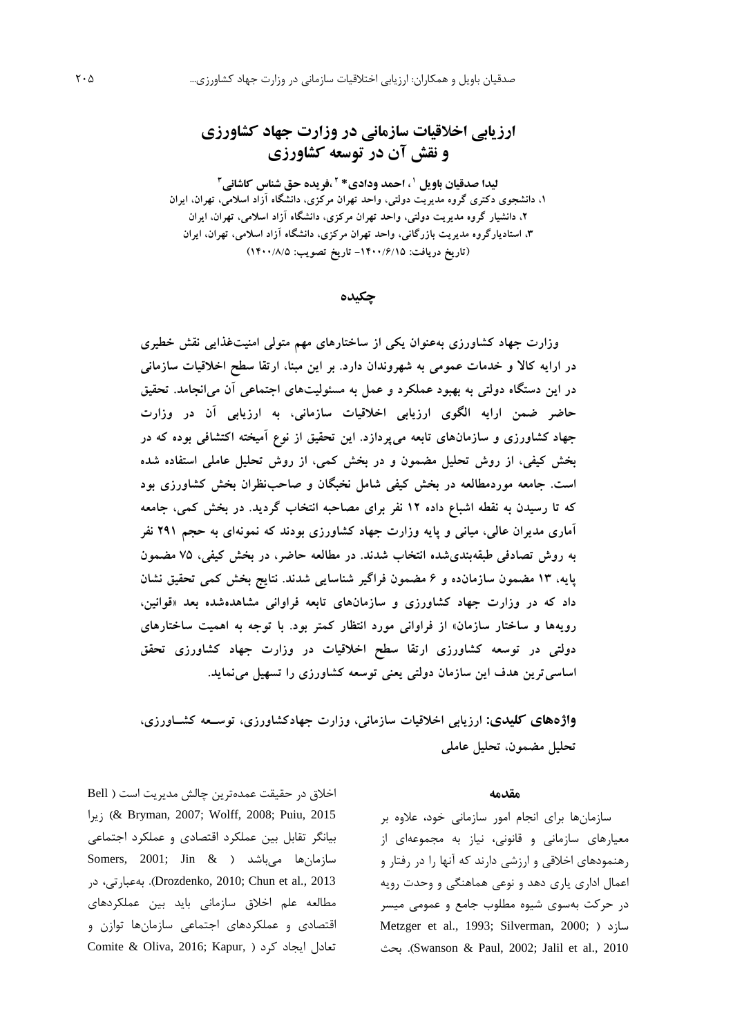# **ارزیابی اخالقیات سازمانی در وزارت جهاد کشاورزی و نقش آن در توسعه کشاورزی**

لیدا صدقیان باویل ' ، احمد ودادی\* <sup>۲</sup> ،فریده حق شناس کاشانی<sup>۳</sup> **،1 دانشجوی دکتری گروه مدیریت دولتی، واحد تهران مرکزی، دانشگاه آزاد اسالمی، تهران، ایران ،2 دانشیار گروه مدیریت دولتی، واحد تهران مرکزی، دانشگاه آزاد اسالمی، تهران، ایران ،3 استادیارگروه مدیریت بازرگانی، واحد تهران مرکزی، دانشگاه آزاد اسالمی، تهران، ایران )تاریخ دریافت: -1400/6/15 تاریخ تصویب: 1400/8/5(**

**چکیده**

**وزارت جهاد کشاورزی بهعنوان یکی از ساختارهای مهم متولی امنیتغذایی نقش خطیری در ارایه کاال و خدمات عمومی به شهروندان دارد. بر این مبنا، ارتقا سطح اخالقیات سازمانی در این دستگاه دولتی به بهبود عملکرد و عمل به مسئولیتهای اجتماعی آن میانجامد. تحقیق حاضر ضمن ارایه الگوی ارزیابی اخالقیات سازمانی، به ارزیابی آن در وزارت جهاد کشاورزی و سازمانهای تابعه میپردازد. این تحقیق از نوع آمیخته اکتشافی بوده که در بخش کیفی، از روش تحلیل مضمون و در بخش کمی، از روش تحلیل عاملی استفاده شده است. جامعه موردمطالعه در بخش کیفی شامل نخبگان و صاحبنظران بخش کشاورزی بود که تا رسیدن به نقطه اشباع داده 12 نفر برای مصاحبه انتخاب گردید. در بخش کمی، جامعه آماری مدیران عالی، میانی و پایه وزارت جهاد کشاورزی بودند که نمونهای به حجم 291 نفر به روش تصادفی طبقهبندیشده انتخاب شدند. در مطالعه حاضر، در بخش کیفی، 75 مضمون پایه، 13 مضمون سازمانده و 6 مضمون فراگیر شناسایی شدند. نتایج بخش کمی تحقیق نشان داد که در وزارت جهاد کشاورزی و سازمانهای تابعه فراوانی مشاهدهشده بعد »قوانین، رویهها و ساختار سازمان« از فراوانی مورد انتظار کمتر بود. با توجه به اهمیت ساختارهای دولتی در توسعه کشاورزی ارتقا سطح اخالقیات در وزارت جهاد کشاورزی تحقق اساسیترین هدف این سازمان دولتی یعنی توسعه کشاورزی را تسهیل مینماید.**

**واژههای کلیدی: ارزیابی اخالقیات سازمانی، وزارت جهادکشاورزی، توسععه کشعاورزی، تحلیل مضمون، تحلیل عاملی**

#### **مقدمه**

سازمانها برای انجام امور سازمانی خود، عالوه بر معيارهای سازمانی و قانونی، نياز به مجموعهای از رهنمودهای اخالقی و ارزشی دارند که آنها را در رفتار و اعمال اداری ياری دهد و نوعی هماهنگی و وحدت رويه در حرکت بهسوی شيوه مطلوب جامع و عمومی ميسر Metzger et al., 1993; Silverman, 2000; ( سازد بحث .(Swanson & Paul, 2002; Jalil et al., 2010

اخالق در حقيقت عمدهترين چالش مديريت است ) Bell زيرا &( Bryman, 2007; Wolff, 2008; Puiu, 2015 بيانگر تقابل بين عملکرد اقتصادی و عملکرد اجتماعی سازمانها میباشد ( & Somers, 2001; Jin در ،بهعبارتی .(Drozdenko, 2010; Chun et al., 2013 مطالعه علم اخالق سازمانی بايد بين عملکردهای اقتصادی و عملکردهای اجتماعی سازمانها توازن و تعادل ايجاد كرد ( ,Comite & Oliva, 2016; Kapur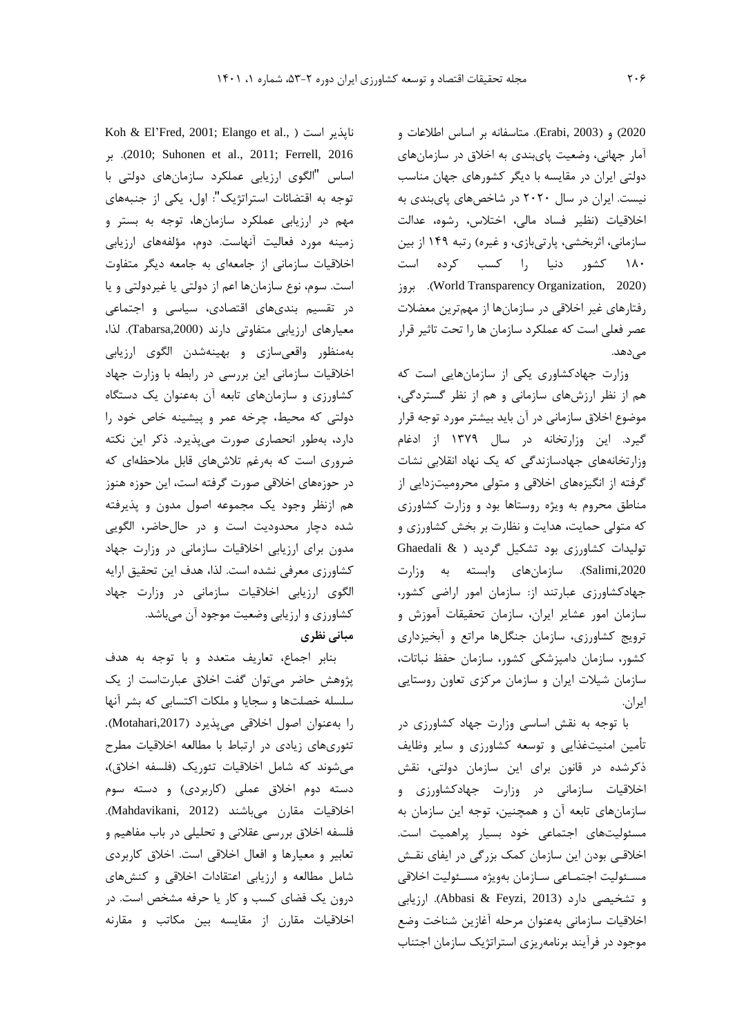2020( و )2003 ,Erabi). متاسفانه بر اساس اطالعات و آمار جهانی، وضعيت پایبندی به اخالق در سازمانهای دولتی ايران در مقايسه با ديگر کشورهای جهان مناسب نيست. ايران در سال 2020 در شاخصهای پایبندی به اخالقيات )نظير فساد مالی، اختالس، رشوه، عدالت سازمانی، اثربخشی، پارتیبازی، و غيره) رتبه ١۴٩ از بين 180 کشور دنيا را کسب کرده است بروز .(World Transparency Organization, 2020( رفتارهای غير اخالقی در سازمانها از مهمترين معضالت عصر فعلی است که عملکرد سازمان ها را تحت تاثير قرار مے ردھد.

وزارت جهادکشاوری يکی از سازمانهايی است که هم از نظر ارزشهای سازمانی و هم از نظر گستردگی، موضوع اخالق سازمانی در آن بايد بيشتر مورد توجه قرار گيرد. اين وزارتخانه در سال 1379 از ادغام وزارتخانههای جهادسازندگی که يک نهاد انقالبی نشات گرفته از انگيزههای اخالقی و متولی محروميتزدايی از مناطق محروم به ويژه روستاها بود و وزارت کشاورزی که متولی حمايت، هدايت و نظارت بر بخش کشاورزی و توليدات کشاورزی بود تشکيل گرديد ) & Ghaedali ,2020Salimi). سازمانهای وابسته به وزارت جهادکشاورزی عبارتند از: سازمان امور اراضی کشور، سازمان امور عشاير ايران، سازمان تحقيقات آموزش و ترويج کشاورزی، سازمان جنگلها مراتع و آبخيزداری کشور، سازمان دامپزشکی کشور، سازمان حفظ نباتات، سازمان شيالت ايران و سازمان مرکزی تعاون روستايی ايران.

با توجه به نقش اساسی وزارت جهاد کشاورزی در تأمين امنيتغذايی و توسعه کشاورزی و ساير وظايف ذکرشده در قانون برای اين سازمان دولتی، نقش اخالقيات سازمانی در وزارت جهادکشاورزی و سازمانهای تابعه آن و همچنين، توجه اين سازمان به مسئوليتهای اجتماعی خود بسيار پراهميت است. اخالقـی بودن اين سازمان کمک بزرگی در ايفای نقـش مسـئوليت اجتمـاعی سـازمان بهويژه مسـئوليت اخالقی و تشخيصی دارد )2013 ,Feyzi & Abbasi). ارزيابی اخالقيات سازمانی بهعنوان مرحله آغازين شناخت وضع موجود در فرآيند برنامهريزی استراتژيک سازمان اجتناب

Koh & El'Fred, 2001; Elango et al., ( است ناپذير بر .(2010 ;Suhonen et al., 2011; Ferrell, 2016 اساس "الگوی ارزيابی عملکرد سازمانهای دولتی با توجه به اقتضائات استراتژيک": اول، يکی از جنبههای مهم در ارزيابی عملکرد سازمانها، توجه به بستر و زمينه مورد فعاليت آنهاست. دوم، مؤلفههای ارزيابی اخالقيات سازمانی از جامعهای به جامعه ديگر متفاوت است. سوم، نوع سازمانها اعم از دولتی يا غيردولتی و يا در تقسيم بندیهای اقتصادی، سياسی و اجتماعی معيارهای ارزيابی متفاوتی دارند ),2000Tabarsa). لذا، بهمنظور واقعیسازی و بهينهشدن الگوی ارزيابی اخالقيات سازمانی اين بررسی در رابطه با وزارت جهاد کشاورزی و سازمانهای تابعه آن بهعنوان يک دستگاه دولتی که محيط، چرخه عمر و پيشينه خاص خود را دارد، بهطور انحصاری صورت میپذيرد. ذکر اين نکته ضروری است که بهرغم تالشهای قابل مالحظهای که در حوزههای اخالقی صورت گرفته است، اين حوزه هنوز هم ازنظر وجود يک مجموعه اصول مدون و پذيرفته شده دچار محدوديت است و در حالحاضر، الگويی مدون برای ارزيابی اخالقيات سازمانی در وزارت جهاد کشاورزی معرفی نشده است. لذا، هدف اين تحقيق ارايه الگوی ارزيابی اخالقيات سازمانی در وزارت جهاد کشاورزی و ارزيابی وضعيت موجود آن میباشد. **مبانی نظري**

بنابر اجماع، تعاريف متعدد و با توجه به هدف پژوهش حاضر میتوان گفت اخالق عبارتاست از يک سلسله خصلتها و سجايا و ملکات اکتسابی که بشر آنها را بهعنوان اصول اخالقی میپذيرد ),2017Motahari). تئوریهای زيادی در ارتباط با مطالعه اخالقيات مطرح میشوند که شامل اخلاقيات تئوريک (فلسفه اخلاق)، دسته دوم اخالق عملی )کاربردی( و دسته سوم اخالقيات مقارن میباشند )2012 ,Mahdavikani). فلسفه اخالق بررسی عقالنی و تحليلی در باب مفاهيم و تعابير و معيارها و افعال اخالقی است. اخالق کاربردی شامل مطالعه و ارزيابی اعتقادات اخالقی و کنشهای درون يک فضای کسب و کار يا حرفه مشخص است. در اخالقيات مقارن از مقايسه بين مکاتب و مقارنه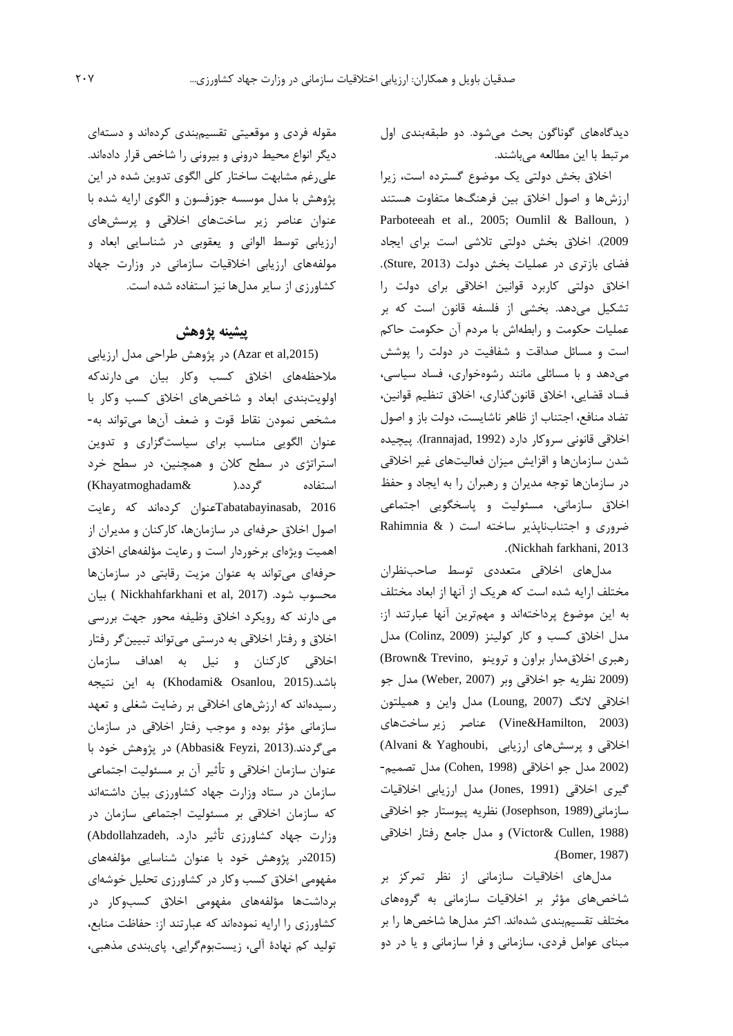ديدگاههای گوناگون بحث میشود. دو طبقهبندی اول مرتبط با اين مطالعه میباشند.

اخالق بخش دولتی يک موضوع گسترده است، زيرا ارزشها و اصول اخالق بين فرهنگها متفاوت هستند Parboteeah et al., 2005; Oumlil & Balloun, ) 2009(. اخالق بخش دولتی تالشی است برای ايجاد فضای بازتری در عمليات بخش دولت )2013 ,Sture). اخالق دولتی کاربرد قوانين اخالقی برای دولت را تشکيل میدهد. بخشی از فلسفه قانون است که بر عمليات حکومت و رابطهاش با مردم آن حکومت حاکم است و مسائل صداقت و شفافيت در دولت را پوشش میدهد و با مسائلی مانند رشوهخواری، فساد سياسی، فساد قضايی، اخالق قانونگذاری، اخالق تنظيم قوانين، تضاد منافع، اجتناب از ظاهر ناشايست، دولت باز و اصول اخالقی قانونی سروکار دارد )1992 ,Irannajad). پيچيده شدن سازمانها و اقزايش ميزان فعاليتهای غير اخالقی در سازمانها توجه مديران و رهبران را به ايجاد و حفظ اخالق سازمانی، مسئوليت و پاسخگويی اجتماعی ضروری و اجتنابناپذير ساخته است ) & Rahimnia .)Nickhah farkhani, 2013

مدلهای اخالقی متعددی توسط صاحبنظران مختلف ارايه شده است که هريک از آنها از ابعاد مختلف به اين موضوع پرداختهاند و مهمترين آنها عبارتند از: مدل اخالق کسب و کار کولينز (2009 ,Colinz (مدل رهبری اخالقمدار براون و تروينو ,Trevino& Brown( (2009 نظريه جو اخالقی وبر (2007 ,Weber (مدل جو اخالقی النگ (2007 ,Loung (مدل واين و هميلتون (2003 ,Hamilton&Vine (عناصر زير ساختهای اخالقی و پرسشهای ارزيابی ,Yaghoubi & Alvani( (2002 مدل جو اخالقی (1998 ,Cohen (مدل تصميم- گيری اخالقی (1991 ,Jones (مدل ارزيابی اخالقيات سازمانی(1989 ,Josephson (نظريه پيوستار جو اخالقی (Victor& Cullen, 1988) و مدل جامع رفتار اخلاقی .(Bomer, 1987)

مدلهای اخالقيات سازمانی از نظر تمرکز بر شاخصهای مؤثر بر اخالقيات سازمانی به گروههای مختلف تقسيمبندی شدهاند. اکثر مدلها شاخصها را بر مبنای عوامل فردی، سازمانی و فرا سازمانی و يا در دو

مقوله فردی و موقعيتی تقسيمبندی کردهاند و دستهای ديگر انواع محيط درونی و بيرونی را شاخص قرار دادهاند. علیرغم مشابهت ساختار کلی الگوی تدوين شده در اين پژوهش با مدل موسسه جوزفسون و الگوی ارايه شده با عنوان عناصر زير ساختهای اخالقی و پرسشهای ارزيابی توسط الوانی و يعقوبی در شناسايی ابعاد و مولفههای ارزيابی اخالقيات سازمانی در وزارت جهاد کشاورزی از ساير مدلها نيز استفاده شده است.

# **پیشینه پژوهش**

(Azar et al,2015) در پژوهش طراحی مدل ارزيابی مالحظههای اخالق کسب وکار بيان می دارندکه اولويتبندی ابعاد و شاخصهای اخالق کسب وکار با مشخص نمودن نقاط قوت و ضعف آنها میتواند به- عنوان الگويی مناسب برای سياستگزاری و تدوين استراتژی در سطح کالن و همچنين، در سطح خرد استفاده گردد.) &Khayatmoghadam( 2016 ,Tabatabayinasabعنوان کردهاند که رعايت اصول اخالق حرفهای در سازمانها، کارکنان و مديران از اهميت ويژهای برخوردار است و رعايت مؤلفههای اخالق حرفهای میتواند به عنوان مزيت رقابتی در سازمانها محسوب شود. (2017 Nickhahfarkhani et al, 2 می دارند که رويکرد اخالق وظيفه محور جهت بررسی اخالق و رفتار اخالقی به درستی میتواند تبيينگر رفتار اخالقی کارکنان و نيل به اهداف سازمان باشد.(2015 Khodami& Osanlou, به اين نتيجه رسيدهاند که ارزشهای اخالقی بر رضايت شغلی و تعهد سازمانی مؤثر بوده و موجب رفتار اخالقی در سازمان میگردند.(2013 ,Feyzi& Abbasi (در پژوهش خود با عنوان سازمان اخالقی و تأثير آن بر مسئوليت اجتماعی سازمان در ستاد وزارت جهاد کشاورزی بيان داشتهاند که سازمان اخالقی بر مسئوليت اجتماعی سازمان در وزارت جهاد کشاورزی تأثير دارد. ,Abdollahzadeh( (2015در پژوهش خود با عنوان شناسايی مؤلفههای مفهومی اخالق کسب وکار در کشاورزی تحليل خوشهای برداشتها مؤلفههای مفهومی اخالق کسبوکار در کشاورزی را ارايه نمودهاند که عبارتند از: حفاظت منابع، توليد کم نهادة آلی، زيستبومگرايی، پایبندی مذهبی،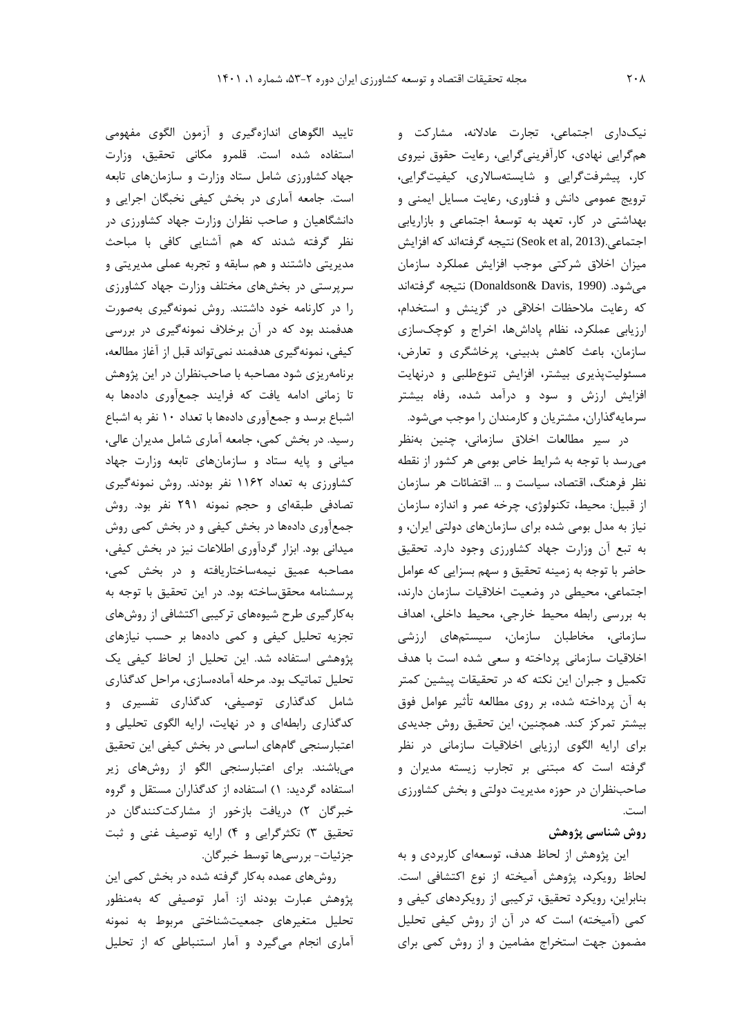نيکداری اجتماعی، تجارت عادالنه، مشارکت و همگرايی نهادی، کارآفرينیگرايی، رعايت حقوق نيروی کار، پيشرفتگرايی و شايستهساالری، کيفيتگرايی، ترويج عمومی دانش و فناوری، رعايت مسايل ايمنی و بهداشتی در کار، تعهد به توسعة اجتماعی و بازاريابی اجتماعي.(2013 ,Seok et al) نتيجه گرفتهاند که افزايش ميزان اخالق شرکتی موجب افزايش عملکرد سازمان میشود. (1990 ,Davis& Donaldson (نتيجه گرفتهاند که رعايت مالحظات اخالقی در گزينش و استخدام، ارزيابی عملکرد، نظام پاداشها، اخراج و کوچکسازی سازمان، باعث کاهش بدبينی، پرخاشگری و تعارض، مسئوليتپذيری بيشتر، افزايش تنوعطلبی و درنهايت افزايش ارزش و سود و درآمد شده، رفاه بيشتر سرمايهگذاران، مشتريان و کارمندان را موجب میشود.

در سير مطالعات اخالق سازمانی، چنين بهنظر میرسد با توجه به شرايط خاص بومی هر کشور از نقطه نظر فرهنگ، اقتصاد، سياست و ... اقتضائات هر سازمان از قبيل: محيط، تکنولوژی، چرخه عمر و اندازه سازمان نياز به مدل بومی شده برای سازمانهای دولتی ايران، و به تبع آن وزارت جهاد کشاورزی وجود دارد. تحقيق حاضر با توجه به زمينه تحقيق و سهم بسزايی که عوامل اجتماعی، محيطی در وضعيت اخالقيات سازمان دارند، به بررسی رابطه محيط خارجی، محيط داخلی، اهداف سازمانی، مخاطبان سازمان، سيستمهای ارزشی اخالقيات سازمانی پرداخته و سعی شده است با هدف تکميل و جبران اين نکته که در تحقيقات پيشين کمتر به آن پرداخته شده، بر روی مطالعه تأثير عوامل فوق بيشتر تمرکز کند. همچنين، اين تحقيق روش جديدی برای ارايه الگوی ارزيابی اخالقيات سازمانی در نظر گرفته است که مبتنی بر تجارب زيسته مديران و صاحبنظران در حوزه مديريت دولتی و بخش کشاورزی است.

## **روش شناسی پژوهش**

اين پژوهش از لحاظ هدف، توسعهای کاربردی و به لحاظ رويکرد، پژوهش آميخته از نوع اکتشافی است. بنابراين، رويکرد تحقيق، ترکيبی از رويکردهای کيفی و کمی (آميخته) است که در آن از روش کيفی تحليل مضمون جهت استخراج مضامين و از روش کمی برای

تاييد الگوهای اندازهگيری و آزمون الگوی مفهومی استفاده شده است. قلمرو مکانی تحقيق، وزارت جهاد کشاورزی شامل ستاد وزارت و سازمانهای تابعه است. جامعه آماری در بخش کيفی نخبگان اجرايی و دانشگاهيان و صاحب نظران وزارت جهاد کشاورزی در نظر گرفته شدند که هم آشنايی کافی با مباحث مديريتی داشتند و هم سابقه و تجربه عملی مديريتی و سرپرستی در بخشهای مختلف وزارت جهاد کشاورزی را در کارنامه خود داشتند. روش نمونهگيری بهصورت هدفمند بود که در آن برخالف نمونهگيری در بررسی کيفی، نمونهگيری هدفمند نمیتواند قبل از آغاز مطالعه، برنامهريزی شود مصاحبه با صاحبنظران در اين پژوهش تا زمانی ادامه يافت که فرايند جمعآوری دادهها به اشباع برسد و جمعآوری دادهها با تعداد 10 نفر به اشباع رسيد. در بخش کمی، جامعه آماری شامل مديران عالی، ميانی و پايه ستاد و سازمانهای تابعه وزارت جهاد کشاورزی به تعداد 1162 نفر بودند. روش نمونهگيری تصادفی طبقهای و حجم نمونه 291 نفر بود. روش جمعآوری دادهها در بخش کيفی و در بخش کمی روش ميدانی بود. ابزار گردآوری اطالعات نيز در بخش کيفی، مصاحبه عميق نيمهساختاريافته و در بخش کمی، پرسشنامه محققساخته بود. در اين تحقيق با توجه به بهکارگيری طرح شيوههای ترکيبی اکتشافی از روشهای تجزيه تحليل کيفی و کمی دادهها بر حسب نيازهای پژوهشی استفاده شد. اين تحليل از لحاظ کيفی يک تحليل تماتيک بود. مرحله آمادهسازی، مراحل کدگذاری شامل کدگذاری توصيفی، کدگذاری تفسيری و کدگذاری رابطهای و در نهايت، ارايه الگوی تحليلی و اعتبارسنجی گامهای اساسی در بخش کيفی اين تحقيق میباشند. برای اعتبارسنجی الگو از روشهای زير استفاده گرديد: 1( استفاده از کدگذاران مستقل و گروه خبرگان ۲) دريافت بازخور از مشاركتكنندگان در تحقيق 3( تکثرگرايی و 4( ارايه توصيف غنی و ثبت جزئيات- بررسیها توسط خبرگان.

روشهای عمده بهکار گرفته شده در بخش کمی اين پژوهش عبارت بودند از: آمار توصيفی که بهمنظور تحليل متغيرهای جمعيتشناختی مربوط به نمونه آماری انجام میگيرد و آمار استنباطی که از تحليل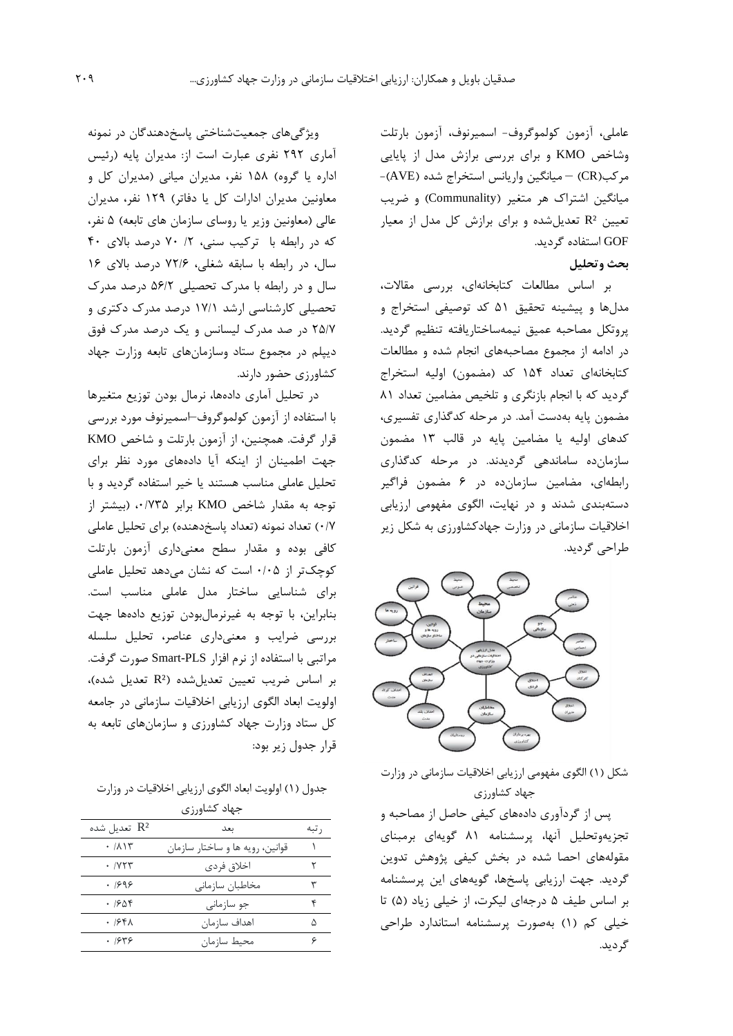عاملی، آزمون کولموگروف- اسميرنوف، آزمون بارتلت وشاخص KMO و برای بررسی برازش مدل از پايايی مرکب)CR – )ميانگين واريانس استخراج شده )AVE)- ميانگين اشتراک هر متغير )Communality )و ضريب تعيين ²R تعديلشده و برای برازش کل مدل از معيار GOF استفاده گرديد.

**بحث وتحليل**

بر اساس مطالعات کتابخانهای، بررسی مقاالت، مدلها و پيشينه تحقيق 51 کد توصيفی استخراج و پروتکل مصاحبه عميق نيمهساختاريافته تنظيم گرديد. در ادامه از مجموع مصاحبههای انجام شده و مطالعات کتابخانهای تعداد 154 کد )مضمون( اوليه استخراج گرديد که با انجام بازنگری و تلخيص مضامين تعداد 81 مضمون پايه بهدست آمد. در مرحله کدگذاری تفسيری، کدهای اوليه يا مضامين پايه در قالب 13 مضمون سازمانده ساماندهی گرديدند. در مرحله کدگذاری رابطهای، مضامين سازمانده در 6 مضمون فراگير دستهبندی شدند و در نهايت، الگوی مفهومی ارزيابی اخالقيات سازمانی در وزارت جهادکشاورزی به شکل زير طراحی گرديد.



شکل (۱) الگوی مفهومی ارزيابی اخلاقيات سازمانی در وزارت جهاد کشاورزی

پس از گردآوری دادههای کيفی حاصل از مصاحبه و تجزيهوتحليل آنها، پرسشنامه 81 گويهای برمبنای مقولههای احصا شده در بخش کيفی پژوهش تدوين گرديد. جهت ارزيابی پاسخها، گويههای اين پرسشنامه بر اساس طيف 5 درجهای ليکرت، از خيلی زياد )5( تا خيلی کم )1( بهصورت پرسشنامه استاندارد طراحی گرديد.

ويژگیهای جمعيتشناختی پاسخدهندگان در نمونه آماری 292 نفری عبارت است از: مديران پايه )رئيس اداره يا گروه) ۱۵۸ نفر، مديران ميانی (مديران کل و معاونين مديران ادارات کل يا دفاتر( 129 نفر، مديران عالی (معاونين وزير يا روسای سازمان های تابعه) ۵ نفر، که در رابطه با ترکيب سنى، ٢، ٧٠ درصد بالاى ۴٠ سال، در رابطه با سابقه شغلی، 72/6 درصد باالی 16 سال و در رابطه با مدرک تحصيلی 56/2 درصد مدرک تحصيلی کارشناسی ارشد 17/1 درصد مدرک دکتری و 25/7 در صد مدرک ليسانس و يک درصد مدرک فوق ديپلم در مجموع ستاد وسازمانهای تابعه وزارت جهاد کشاورزی حضور دارند.

در تحليل آماری دادهها، نرمال بودن توزيع متغيرها با استفاده از آزمون کولموگروف–اسميرنوف مورد بررسی قرار گرفت. همچنين، از آزمون بارتلت و شاخص KMO جهت اطمينان از اينکه آيا دادههای مورد نظر برای تحليل عاملی مناسب هستند يا خير استفاده گرديد و با توجه به مقدار شاخص KMO برابر ،0/735 )بيشتر از 0/7( تعداد نمونه )تعداد پاسخدهنده( برای تحليل عاملی کافی بوده و مقدار سطح معنیداری آزمون بارتلت کوچکتر از 0/05 است که نشان میدهد تحليل عاملی برای شناسايی ساختار مدل عاملی مناسب است. بنابراين، با توجه به غيرنرمالبودن توزيع دادهها جهت بررسی ضرايب و معنیداری عناصر، تحليل سلسله مراتبی با استفاده از نرم افزار PLS-Smart صورت گرفت. بر اساس ضريب تعيين تعديل شده)، (R2 تعديل شده)، اولويت ابعاد الگوی ارزيابی اخالقيات سازمانی در جامعه کل ستاد وزارت جهاد کشاورزی و سازمانهای تابعه به قرار جدول زير بود:

جدول (١) اولويت ابعاد الگوي ارزيابي اخلاقيات در وزارت

| جهاد کشاورزی        |                                 |       |  |  |  |  |  |
|---------------------|---------------------------------|-------|--|--|--|--|--|
| تعديل شده $\rm R^2$ | ىعد                             | ر تبه |  |  |  |  |  |
| .711                | قوانین، رویه ها و ساختار سازمان |       |  |  |  |  |  |
| . <b><i>NT</i></b>  | اخلاق فردى                      | ٢     |  |  |  |  |  |
| .7999               | مخاطبان سازمانی                 |       |  |  |  |  |  |
| ۱۶۵۴ ۰              | جو سازمانی                      | ۴     |  |  |  |  |  |
| ۱۶۴۸ .              | اهداف سا; مان                   | Λ     |  |  |  |  |  |
| .7949               | محيط سازمان                     |       |  |  |  |  |  |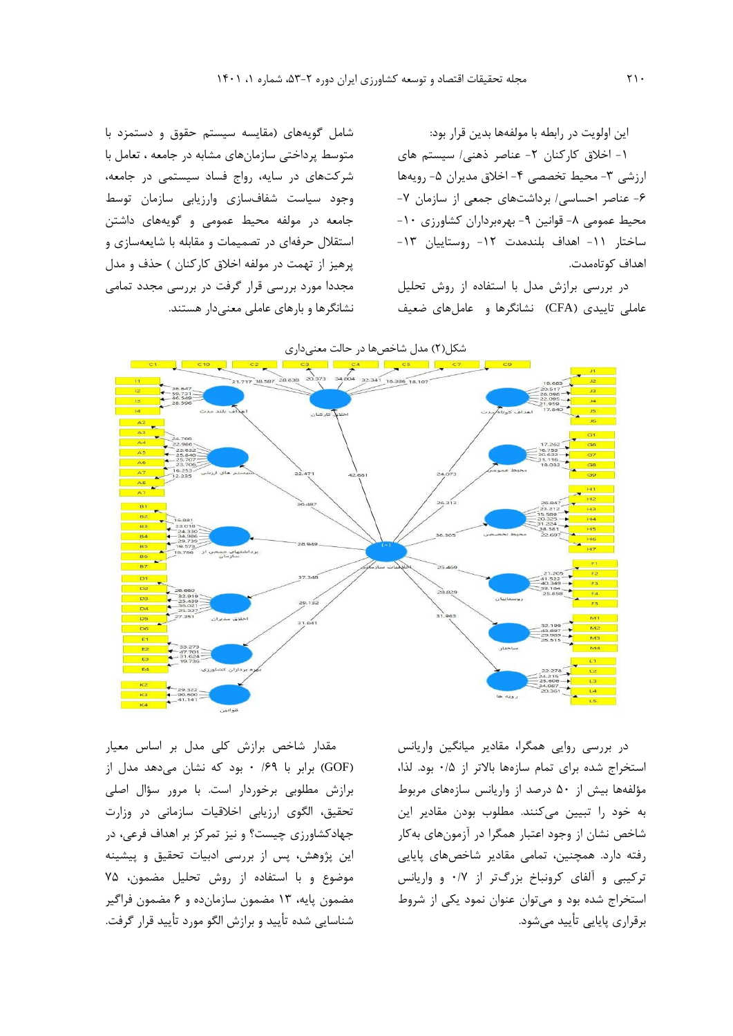اين اولويت در رابطه با مولفهها بدين قرار بود: -1 اخالق کارکنان -2 عناصر ذهنی/ سيستم های ارزشی ۳- محيط تخصصی ۴- اخلاق مديران ۵- رويهها -6 عناصر احساسی/ برداشتهای جمعی از سازمان -7 محيط عمومي ٨- قوانين ٩- بهرهبرداران كشاورزي ١٠-ساختار -11 اهداف بلندمدت -17 روستاييان -1۳-اهداف کوتاهمدت.

در بررسی برازش مدل با استفاده از روش تحليل عاملی تاييدی )CFA )نشانگرها و عاملهای ضعيف

شامل گويههای )مقايسه سيستم حقوق و دستمزد با متوسط پرداختی سازمانهای مشابه در جامعه ، تعامل با شرکتهای در سايه، رواج فساد سيستمی در جامعه، وجود سياست شفافسازی وارزيابی سازمان توسط جامعه در مولفه محيط عمومی و گويههای داشتن استقالل حرفهای در تصميمات و مقابله با شايعهسازی و پرهيز از تهمت در مولفه اخلاق کارکنان ) حذف و مدل مجددا مورد بررسی قرار گرفت در بررسی مجدد تمامی نشانگرها و بارهای عاملی معنیدار هستند.





در بررسی روايی همگرا، مقادير ميانگين واريانس استخراج شده برای تمام سازهها باالتر از 0/5 بود. لذا، مؤلفهها بيش از 50 درصد از واريانس سازههای مربوط به خود را تبيين میکنند. مطلوب بودن مقادير اين شاخص نشان از وجود اعتبار همگرا در آزمونهای بهکار رفته دارد. همچنين، تمامی مقادير شاخصهای پايايی ترکيبی و آلفای کرونباخ بزرگتر از 0/7 و واريانس استخراج شده بود و میتوان عنوان نمود يکی از شروط برقراری پايايی تأييد میشود.

مقدار شاخص برازش کلی مدل بر اساس معيار )GOF )برابر با /69 0 بود که نشان میدهد مدل از برازش مطلوبی برخوردار است. با مرور سؤال اصلی تحقيق، الگوی ارزيابی اخالقيات سازمانی در وزارت جهادکشاورزی چيست؟ و نيز تمرکز بر اهداف فرعی، در اين پژوهش، پس از بررسی ادبيات تحقيق و پيشينه موضوع و با استفاده از روش تحليل مضمون، 75 مضمون پايه، 13 مضمون سازمانده و 6 مضمون فراگير شناسايی شده تأييد و برازش الگو مورد تأييد قرار گرفت.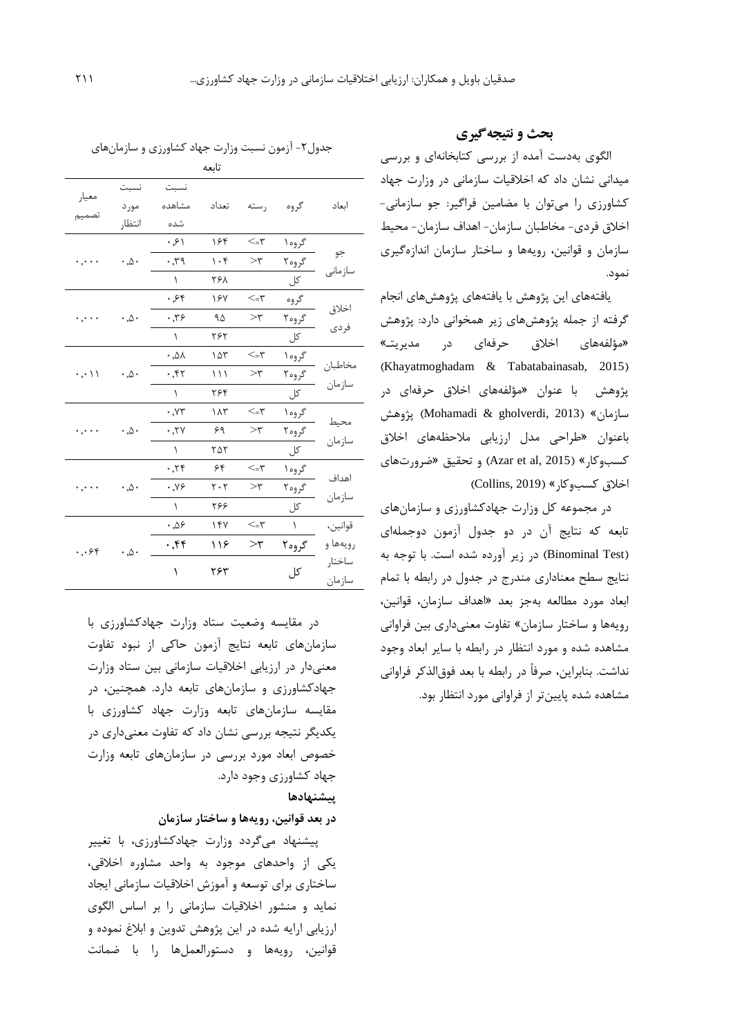الگوی بهدست آمده از بررسی کتابخانهای و بررسی ميدانی نشان داد که اخالقيات سازمانی در وزارت جهاد کشاورزی را میتوان با مضامين فراگير: جو سازمانی- اخالق فردی- مخاطبان سازمان- اهداف سازمان- محيط سازمان و قوانين، رويهها و ساختار سازمان اندازهگيری نمود.

**بحث و نتیجهگیری**

يافتههای اين پژوهش با يافتههای پژوهشهای انجام گرفته از جمله پژوهشهای زير همخوانی دارد: پژوهش »مؤلفههای اخالق حرفهای در مديريتـ« (Khayatmoghadam & Tabatabainasab, 2015) پژوهش با عنوان »مؤلفههای اخالق حرفهای در سازمان» (Mohamadi & gholverdi, 2013) پژوهش باعنوان »طراحی مدل ارزيابی مالحظههای اخالق کسبوکار« )2015 ,al et Azar )و تحقيق »ضرورتهای اخالق کسبوکار« )2019 ,Collins)

در مجموعه کل وزارت جهادکشاورزی و سازمانهای تابعه که نتايج آن در دو جدول آزمون دوجملهای (Binominal Test) در زير آورده شده است. با توجه به نتايج سطح معناداری مندرج در جدول در رابطه با تمام ابعاد مورد مطالعه بهجز بعد »اهداف سازمان، قوانين، رويهها و ساختار سازمان« تفاوت معنیداری بين فراوانی مشاهده شده و مورد انتظار در رابطه با ساير ابعاد وجود نداشت. بنابراين، صرفاً در رابطه با بعد فوقالذکر فراوانی مشاهده شده پايينتر از فراوانی مورد انتظار بود.

جدول-2 آزمون نسبت وزارت جهاد کشاورزی و سازمانهای

|                                   |                                    |                        | تابعه     |                                                |           |                   |
|-----------------------------------|------------------------------------|------------------------|-----------|------------------------------------------------|-----------|-------------------|
| معيار<br>تصميم                    | نسبت<br>مورد                       | نسبت<br>مشاهده         | تعداد     | رسته                                           | گروه      | ابعاد             |
|                                   | انتظار                             | شده                    |           |                                                |           |                   |
| $\cdot$ , $\cdot$ $\cdot$         |                                    | .91                    | ۱۶۴       | $\prec=\,\uparrow$                             | گروه ۱    | جو                |
|                                   | $\cdot \, . \triangle \cdot$       | ۰٫۳۹                   | $\cdot$ ۴ | $>\tau$                                        | گروه۲     | سازمانى           |
|                                   |                                    | $\lambda$              | ۲۶۸       |                                                | کل        |                   |
| $\cdot$ , $\cdot$ $\cdot$         |                                    | ۰٫۶۴                   | 187       | ۳=>                                            | گروه      | اخلاق<br>فردى     |
|                                   | $\cdot \, . \triangle \cdot$       | $\cdot$ , $\mathbf{y}$ | ۹۵        | $>\uparrow$                                    | گروه۲     |                   |
|                                   |                                    | $\lambda$              | ۲۶۲       |                                                | کل        |                   |
| $\cdot$ , $\cdot$ \ \             |                                    | ۸۵, ۰                  | ۱۵۳       | ۳=>                                            | گروه ۱    | مخاطبان<br>سازمان |
|                                   | $\cdot \, . \mathsf{\Delta} \cdot$ | .57                    | ۱۱۱       | $>\tau$                                        | گروه۲     |                   |
|                                   |                                    | $\lambda$              | ۲۶۴       |                                                | کل        |                   |
| $\cdot$ , $\cdot$ $\cdot$ $\cdot$ |                                    | $\cdot$ , $\vee\tau$   | ۱۸۳       | $\leq$ -۳                                      | گروه ۱    | محيط<br>سازمان    |
|                                   | $\cdot \, . \, \triangle \cdot$    | .7V                    | ۶۹        | $>\uparrow$                                    | گروه۲     |                   |
|                                   |                                    | ١                      | ۲۵۲       |                                                | کل        |                   |
| $\cdot$ , $\cdot$ $\cdot$         |                                    | .75                    | ۶۴        | $\mathord{<}_{\mathord{=}} \mathord{\uparrow}$ | گروه ۱    | اهداف<br>سازمان   |
|                                   | $\cdot \, . \mathsf{\Delta} \cdot$ | $\cdot$ , Y۶           | ۲۰۲       | $>\uparrow$                                    | گروه۲     |                   |
|                                   |                                    | $\lambda$              | ۲۶۶       |                                                | کل        |                   |
| $\cdot$ , $\cdot$ $\circ$ $\circ$ |                                    | ۵۶. ۰                  | ۱۴۷       | $\mathord{<}_{\mathord{=}} \mathord{\uparrow}$ | $\lambda$ | قوانين،           |
|                                   | $\cdot \, . \triangle \cdot$       | ۰٫۴۴                   | ۱۱۶       | $>\!\!r$                                       | گروه۲     | رويەھا و          |
|                                   |                                    | ١                      | ۲۶۳       |                                                | کل        | ساختار            |
|                                   |                                    |                        |           |                                                |           | سازمان            |

در مقايسه وضعيت ستاد وزارت جهادکشاورزی با سازمانهای تابعه نتايج آزمون حاکی از نبود تفاوت معنیدار در ارزيابی اخالقيات سازمانی بين ستاد وزارت جهادکشاورزی و سازمانهای تابعه دارد. همچنين، در مقايسه سازمانهای تابعه وزارت جهاد کشاورزی با يکديگر نتيجه بررسی نشان داد که تفاوت معنیداری در خصوص ابعاد مورد بررسی در سازمانهای تابعه وزارت جهاد کشاورزی وجود دارد.

# **پيشنهادها**

**در بعد قوانين، رويهها و ساختار سازمان** 

پيشنهاد میگردد وزارت جهادکشاورزی، با تغيير يکی از واحدهای موجود به واحد مشاوره اخالقی، ساختاری برای توسعه و آموزش اخالقيات سازمانی ايجاد نمايد و منشور اخالقيات سازمانی را بر اساس الگوی ارزيابی ارايه شده در اين پژوهش تدوين و ابالغ نموده و قوانين، رويهها و دستورالعملها را با ضمانت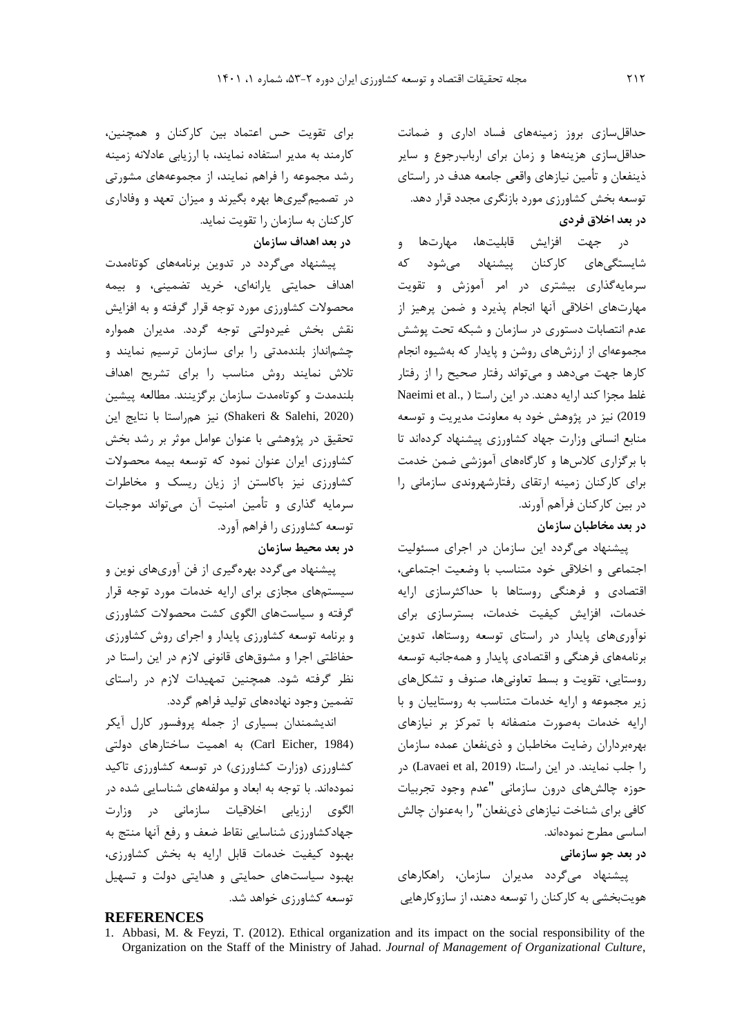حداقلسازی بروز زمينههای فساد اداری و ضمانت حداقلسازی هزينهها و زمان برای اربابرجوع و ساير ذينفعان و تأمين نيازهای واقعی جامعه هدف در راستای توسعه بخش کشاورزی مورد بازنگری مجدد قرار دهد. **در بعد اخالق فردي**

در جهت افزايش قابليتها، مهارتها و شايستگیهای کارکنان پيشنهاد میشود که سرمايهگذاری بيشتری در امر آموزش و تقويت مهارتهای اخالقی آنها انجام پذيرد و ضمن پرهيز از عدم انتصابات دستوری در سازمان و شبکه تحت پوشش مجموعهای از ارزشهای روشن و پايدار که بهشيوه انجام کارها جهت میدهد و میتواند رفتار صحيح را از رفتار غلط مجزا کند ارايه دهند. در اين راستا ( ,Naeimi et al 2019( نيز در پژوهش خود به معاونت مديريت و توسعه منابع انسانی وزارت جهاد کشاورزی پيشنهاد کردهاند تا با برگزاری کالسها و کارگاههای آموزشی ضمن خدمت برای کارکنان زمينه ارتقای رفتارشهروندی سازمانی را در بين کارکنان فرآهم آورند. **در بعد مخاطبان سازمان** 

پيشنهاد میگردد اين سازمان در اجرای مسئوليت اجتماعی و اخالقی خود متناسب با وضعيت اجتماعی، اقتصادی و فرهنگی روستاها با حداکثرسازی ارايه خدمات، افزايش کيفيت خدمات، بسترسازی برای نوآوریهای پايدار در راستای توسعه روستاها، تدوين برنامههای فرهنگی و اقتصادی پايدار و همهجانبه توسعه روستايی، تقويت و بسط تعاونیها، صنوف و تشکلهای زير مجموعه و ارايه خدمات متناسب به روستاييان و با ارايه خدمات بهصورت منصفانه با تمرکز بر نيازهای بهرهبرداران رضايت مخاطبان و ذینفعان عمده سازمان را جلب نمايند. در اين راستا، (Lavaei et al, 2019) در حوزه چالشهای درون سازمانی "عدم وجود تجربيات کافی برای شناخت نيازهای ذینفعان" را بهعنوان چالش اساسی مطرح نمودهاند.

**در بعد جو سازمانی**

پيشنهاد میگردد مديران سازمان، راهکارهای هويتبخشی به کارکنان را توسعه دهند، از سازوکارهايی

برای تقويت حس اعتماد بين کارکنان و همچنين، کارمند به مدير استفاده نمايند، با ارزيابی عادالنه زمينه رشد مجموعه را فراهم نمايند، از مجموعههای مشورتی در تصميمگيریها بهره بگيرند و ميزان تعهد و وفاداری کارکنان به سازمان را تقويت نمايد.

# **در بعد اهداف سازمان**

پيشنهاد میگردد در تدوين برنامههای کوتاهمدت اهداف حمايتی يارانهای، خريد تضمينی، و بيمه محصوالت کشاورزی مورد توجه قرار گرفته و به افزايش نقش بخش غيردولتی توجه گردد. مديران همواره چشمانداز بلندمدتی را برای سازمان ترسيم نمايند و تالش نمايند روش مناسب را برای تشريح اهداف بلندمدت و کوتاهمدت سازمان برگزينند. مطالعه پيشين )2020 ,Salehi & Shakeri )نيز همراستا با نتايج اين تحقيق در پژوهشی با عنوان عوامل موثر بر رشد بخش کشاورزی ايران عنوان نمود که توسعه بيمه محصوالت کشاورزی نيز باکاستن از زيان ريسک و مخاطرات سرمايه گذاری و تأمين امنيت آن میتواند موجبات توسعه کشاورزی را فراهم آورد.

# **در بعد محيط سازمان**

پيشنهاد میگردد بهرهگيری از فن آوریهای نوين و سيستمهای مجازی برای ارايه خدمات مورد توجه قرار گرفته و سياستهای الگوی کشت محصوالت کشاورزی و برنامه توسعه کشاورزی پايدار و اجرای روش کشاورزی حفاظتی اجرا و مشوقهای قانونی الزم در اين راستا در نظر گرفته شود. همچنين تمهيدات الزم در راستای تضمين وجود نهادههای توليد فراهم گردد.

انديشمندان بسياری از جمله پروفسور کارل آيکر (Carl Eicher, 1984) به اهمیت ساختارهای دولتی کشاورزی (وزارت کشاورزی) در توسعه کشاورزی تاکيد نمودهاند. با توجه به ابعاد و مولفههای شناسايی شده در الگوی ارزيابی اخالقيات سازمانی در وزارت جهادکشاورزی شناسايی نقاط ضعف و رفع آنها منتج به بهبود کيفيت خدمات قابل ارايه به بخش کشاورزی، بهبود سياستهای حمايتی و هدايتی دولت و تسهيل توسعه کشاورزی خواهد شد.

# **REFERENCES**

<sup>1.</sup> Abbasi, M. & Feyzi, T. (2012). Ethical organization and its impact on the social responsibility of the Organization on the Staff of the Ministry of Jahad. *Journal of Management of Organizational Culture*,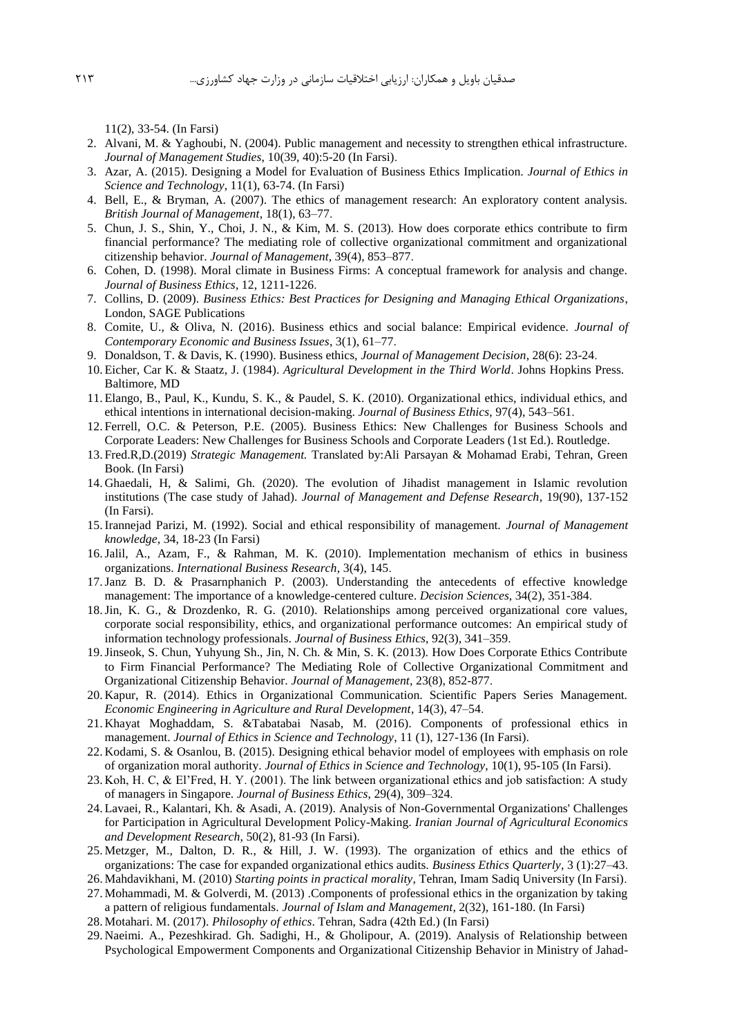11(2), 33-54. (In Farsi)

- 2. Alvani, M. & Yaghoubi, N. (2004). Public management and necessity to strengthen ethical infrastructure. *Journal of Management Studies*, 10(39, 40):5-20 (In Farsi).
- 3. Azar, A. (2015). Designing a Model for Evaluation of Business Ethics Implication. *Journal of Ethics in Science and Technology*, 11(1), 63-74. (In Farsi)
- 4. Bell, E., & Bryman, A. (2007). The ethics of management research: An exploratory content analysis. *British Journal of Management*, 18(1), 63–77.
- 5. Chun, J. S., Shin, Y., Choi, J. N., & Kim, M. S. (2013). How does corporate ethics contribute to firm financial performance? The mediating role of collective organizational commitment and organizational citizenship behavior. *Journal of Management*, 39(4), 853–877.
- 6. Cohen, D. (1998). Moral climate in Business Firms: A conceptual framework for analysis and change. *Journal of Business Ethics*, 12, 1211-1226.
- 7. Collins, D. (2009). *Business Ethics: Best Practices for Designing and Managing Ethical Organizations*, London, SAGE Publications
- 8. Comite, U., & Oliva, N. (2016). Business ethics and social balance: Empirical evidence. *Journal of Contemporary Economic and Business Issues*, 3(1), 61–77.
- 9. Donaldson, T. & Davis, K. (1990). Business ethics, *Journal of Management Decision*, 28(6): 23-24.
- 10. Eicher, Car K. & Staatz, J. (1984). *Agricultural Development in the Third World*. Johns Hopkins Press. Baltimore, MD
- 11. Elango, B., Paul, K., Kundu, S. K., & Paudel, S. K. (2010). Organizational ethics, individual ethics, and ethical intentions in international decision-making. *Journal of Business Ethics*, 97(4), 543–561.
- 12. Ferrell, O.C. & Peterson, P.E. (2005). Business Ethics: New Challenges for Business Schools and Corporate Leaders: New Challenges for Business Schools and Corporate Leaders (1st Ed.). Routledge.
- 13. Fred.R,D.(2019) *Strategic Management.* Translated by:Ali Parsayan & Mohamad Erabi, Tehran, Green Book. (In Farsi)
- 14. Ghaedali, H, & Salimi, Gh. (2020). The evolution of Jihadist management in Islamic revolution institutions (The case study of Jahad). *Journal of Management and Defense Research*, 19(90), 137-152 (In Farsi).
- 15.Irannejad Parizi, M. (1992). Social and ethical responsibility of management. *Journal of Management knowledge*, 34, 18-23 (In Farsi)
- 16.Jalil, A., Azam, F., & Rahman, M. K. (2010). Implementation mechanism of ethics in business organizations. *International Business Research*, 3(4), 145.
- 17.Janz B. D. & Prasarnphanich P. (2003). Understanding the antecedents of effective knowledge management: The importance of a knowledge-centered culture. *Decision Sciences*, 34(2), 351-384.
- 18.Jin, K. G., & Drozdenko, R. G. (2010). Relationships among perceived organizational core values, corporate social responsibility, ethics, and organizational performance outcomes: An empirical study of information technology professionals. *Journal of Business Ethics*, 92(3), 341–359.
- 19.Jinseok, S. Chun, Yuhyung Sh., Jin, N. Ch. & Min, S. K. (2013). How Does Corporate Ethics Contribute to Firm Financial Performance? The Mediating Role of Collective Organizational Commitment and Organizational Citizenship Behavior. *Journal of Management*, 23(8), 852-877.
- 20. Kapur, R. (2014). Ethics in Organizational Communication. Scientific Papers Series Management. *Economic Engineering in Agriculture and Rural Development*, 14(3), 47–54.
- 21. Khayat Moghaddam, S. &Tabatabai Nasab, M. (2016). Components of professional ethics in management. *Journal of Ethics in Science and Technology*, 11 (1), 127-136 (In Farsi).
- 22. Kodami, S. & Osanlou, B. (2015). Designing ethical behavior model of employees with emphasis on role of organization moral authority. *Journal of Ethics in Science and Technology*, 10(1), 95-105 (In Farsi).
- 23. Koh, H. C, & El'Fred, H. Y. (2001). The link between organizational ethics and job satisfaction: A study of managers in Singapore. *Journal of Business Ethics*, 29(4), 309–324.
- 24. Lavaei, R., Kalantari, Kh. & Asadi, A. (2019). Analysis of Non-Governmental Organizations' Challenges for Participation in Agricultural Development Policy-Making. *Iranian Journal of Agricultural Economics and Development Research*, 50(2), 81-93 (In Farsi).
- 25. Metzger, M., Dalton, D. R., & Hill, J. W. (1993). The organization of ethics and the ethics of organizations: The case for expanded organizational ethics audits. *Business Ethics Quarterly*, 3 (1):27–43.

26. Mahdavikhani, M. (2010) *Starting points in practical morality*, Tehran, Imam Sadiq University (In Farsi).

- 27. Mohammadi, M. & Golverdi, M. (2013) .Components of professional ethics in the organization by taking a pattern of religious fundamentals. *Journal of Islam and Management*, 2(32), 161-180. (In Farsi)
- 28. Motahari. M. (2017). *Philosophy of ethics*. Tehran, Sadra (42th Ed.) (In Farsi)
- 29. Naeimi. A., Pezeshkirad. Gh. Sadighi, H., & Gholipour, A. (2019). Analysis of Relationship between Psychological Empowerment Components and Organizational Citizenship Behavior in Ministry of Jahad-